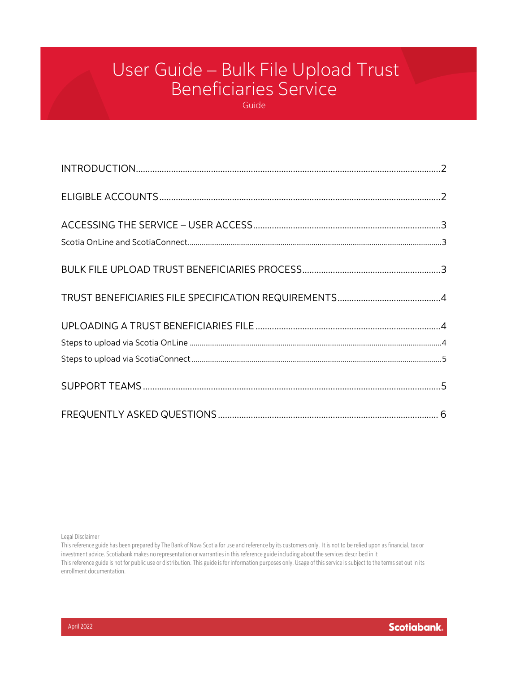# User Guide – Bulk File Upload Trust Beneficiaries Service

Guide

Legal Disclaimer

This reference guide has been prepared by The Bank of Nova Scotia for use and reference by its customers only. It is not to be relied upon as financial, tax or investment advice. Scotiabank makes no representation or warranties in this reference guide including about the services described in it This reference guide is not for public use or distribution. This guide is for information purposes only. Usage of this service is subject to the terms set out in its enrollment documentation.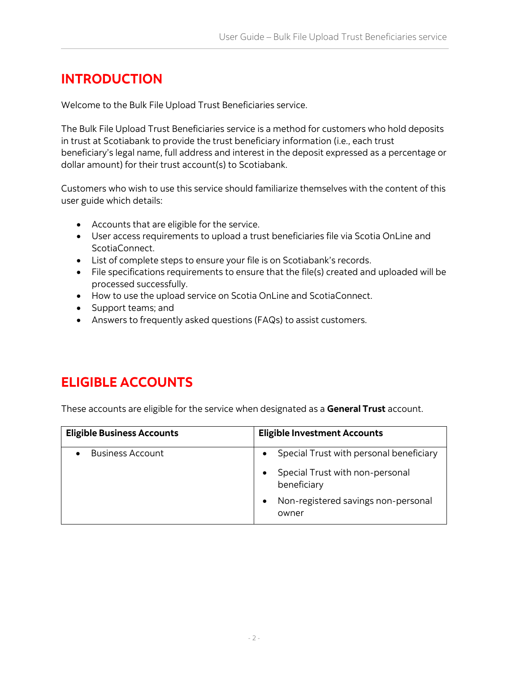### <span id="page-1-0"></span>**INTRODUCTION**

Welcome to the Bulk File Upload Trust Beneficiaries service.

The Bulk File Upload Trust Beneficiaries service is a method for customers who hold deposits in trust at Scotiabank to provide the trust beneficiary information (i.e., each trust beneficiary's legal name, full address and interest in the deposit expressed as a percentage or dollar amount) for their trust account(s) to Scotiabank.

Customers who wish to use this service should familiarize themselves with the content of this user guide which details:

- Accounts that are eligible for the service.
- User access requirements to upload a trust beneficiaries file via Scotia OnLine and ScotiaConnect.
- List of complete steps to ensure your file is on Scotiabank's records.
- File specifications requirements to ensure that the file(s) created and uploaded will be processed successfully.
- How to use the upload service on Scotia OnLine and ScotiaConnect.
- Support teams; and
- Answers to frequently asked questions (FAQs) to assist customers.

### <span id="page-1-1"></span>**ELIGIBLE ACCOUNTS**

These accounts are eligible for the service when designated as a **General Trust** account.

| <b>Eligible Business Accounts</b> | <b>Eligible Investment Accounts</b>            |
|-----------------------------------|------------------------------------------------|
| <b>Business Account</b>           | Special Trust with personal beneficiary        |
|                                   | Special Trust with non-personal<br>beneficiary |
|                                   | Non-registered savings non-personal<br>owner   |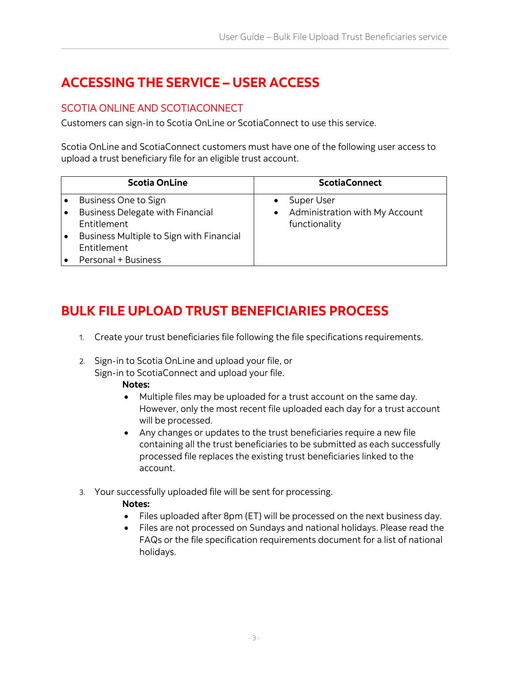## <span id="page-2-0"></span>**ACCESSING THE SERVICE – USER ACCESS**

### <span id="page-2-1"></span>SCOTIA ONLINE AND SCOTIACONNECT

Customers can sign-in to Scotia OnLine or ScotiaConnect to use this service.

Scotia OnLine and ScotiaConnect customers must have one of the following user access to upload a trust beneficiary file for an eligible trust account.

| <b>Scotia OnLine</b>                     |           | <b>ScotiaConnect</b>           |
|------------------------------------------|-----------|--------------------------------|
| Business One to Sign                     |           | Super User                     |
| <b>Business Delegate with Financial</b>  | $\bullet$ | Administration with My Account |
| Entitlement                              |           | functionality                  |
| Business Multiple to Sign with Financial |           |                                |
| <b>Fntitlement</b>                       |           |                                |
| Personal + Business                      |           |                                |

### <span id="page-2-2"></span>**BULK FILE UPLOAD TRUST BENEFICIARIES PROCESS**

- 1. Create your trust beneficiaries file following the file specifications requirements.
- 2. Sign-in to Scotia OnLine and upload your file, or Sign-in to ScotiaConnect and upload your file.

#### **Notes:**

- Multiple files may be uploaded for a trust account on the same day. However, only the most recent file uploaded each day for a trust account will be processed.
- Any changes or updates to the trust beneficiaries require a new file containing all the trust beneficiaries to be submitted as each successfully processed file replaces the existing trust beneficiaries linked to the account.
- 3. Your successfully uploaded file will be sent for processing.

### **Notes:**

- Files uploaded after 8pm (ET) will be processed on the next business day.
- Files are not processed on Sundays and national holidays. Please read the FAQs or the file specification requirements document for a list of national holidays.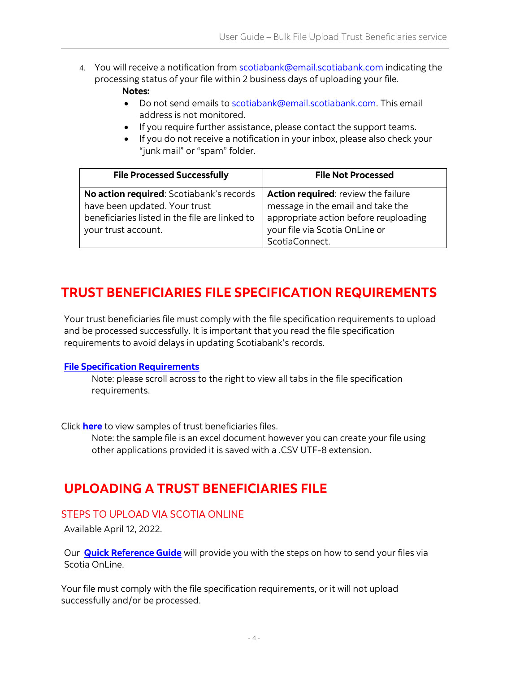- 4. You will receive a notification from scotiabank@email.scotiabank.com indicating the processing status of your file within 2 business days of uploading your file. **Notes:**
	- Do not send emails to scotiabank@email.scotiabank.com. This email address is not monitored.
	- If you require further assistance, please contact the support teams.
	- If you do not receive a notification in your inbox, please also check your "junk mail" or "spam" folder.

| <b>File Processed Successfully</b>             | <b>File Not Processed</b>             |
|------------------------------------------------|---------------------------------------|
| No action required: Scotiabank's records       | Action required: review the failure   |
| have been updated. Your trust                  | message in the email and take the     |
| beneficiaries listed in the file are linked to | appropriate action before reuploading |
| your trust account.                            | your file via Scotia OnLine or        |
|                                                | ScotiaConnect.                        |

### <span id="page-3-0"></span>**TRUST BENEFICIARIES FILE SPECIFICATION REQUIREMENTS**

Your trust beneficiaries file must comply with the file specification requirements to upload and be processed successfully. It is important that you read the file specification requirements to avoid delays in updating Scotiabank's records.

#### **[File Specification Requirements](https://www.scotiabank.com/content/dam/scotiabank/canada/en/documents/File_Specification_Requirements.xlsx)**

Note: please scroll across to the right to view all tabs in the file specification requirements.

Click **[here](https://www.scotiabank.com/content/dam/scotiabank/canada/en/documents/Sample_Files_Subscribe_and_Unsubscribe.xlsx)** to view samples of trust beneficiaries files.

Note: the sample file is an excel document however you can create your file using other applications provided it is saved with a .CSV UTF-8 extension.

### <span id="page-3-1"></span>**UPLOADING A TRUST BENEFICIARIES FILE**

### <span id="page-3-2"></span>STEPS TO UPLOAD VIA SCOTIA ONLINE

Available April 12, 2022.

Our **[Quick Reference Guide](https://www.scotiabank.com/content/dam/scotiabank/canada/en/documents/Quick_Reference_Guide_SOL.pdf)** will provide you with the steps on how to send your files via Scotia OnLine.

Your file must comply with the file specification requirements, or it will not upload successfully and/or be processed.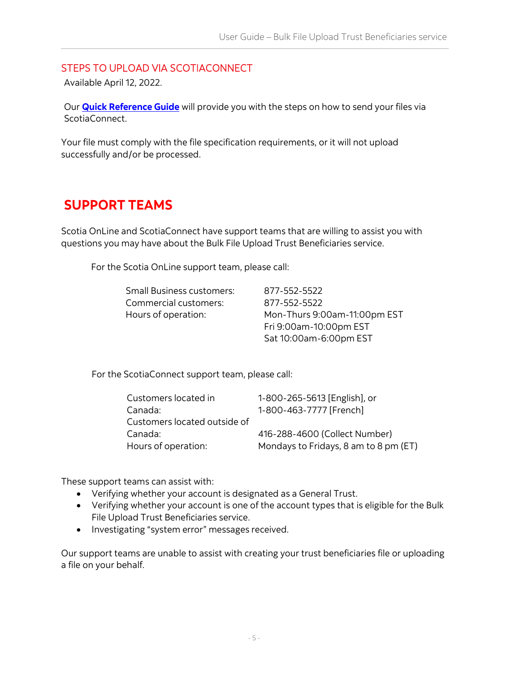#### <span id="page-4-0"></span>STEPS TO UPLOAD VIA SCOTIACONNECT

Available April 12, 2022.

Our **[Quick Reference Guide](https://gtb.scotiabank.com/content/dam/gtb/documents/beneficiaryuploads.pdf)** will provide you with the steps on how to send your files via ScotiaConnect.

Your file must comply with the file specification requirements, or it will not upload successfully and/or be processed.

### <span id="page-4-1"></span>**SUPPORT TEAMS**

Scotia OnLine and ScotiaConnect have support teams that are willing to assist you with questions you may have about the Bulk File Upload Trust Beneficiaries service.

For the Scotia OnLine support team, please call:

| Small Business customers: | 877-552-5522                 |
|---------------------------|------------------------------|
| Commercial customers:     | 877-552-5522                 |
| Hours of operation:       | Mon-Thurs 9:00am-11:00pm EST |
|                           | Fri 9:00am-10:00pm EST       |
|                           | Sat 10:00am-6:00pm EST       |

For the ScotiaConnect support team, please call:

| Customers located in         | 1-800-265-5613 [English], or          |
|------------------------------|---------------------------------------|
| Canada:                      | 1-800-463-7777 [French]               |
| Customers located outside of |                                       |
| Canada:                      | 416-288-4600 (Collect Number)         |
| Hours of operation:          | Mondays to Fridays, 8 am to 8 pm (ET) |
|                              |                                       |

These support teams can assist with:

- Verifying whether your account is designated as a General Trust.
- Verifying whether your account is one of the account types that is eligible for the Bulk File Upload Trust Beneficiaries service.
- Investigating "system error" messages received.

Our support teams are unable to assist with creating your trust beneficiaries file or uploading a file on your behalf.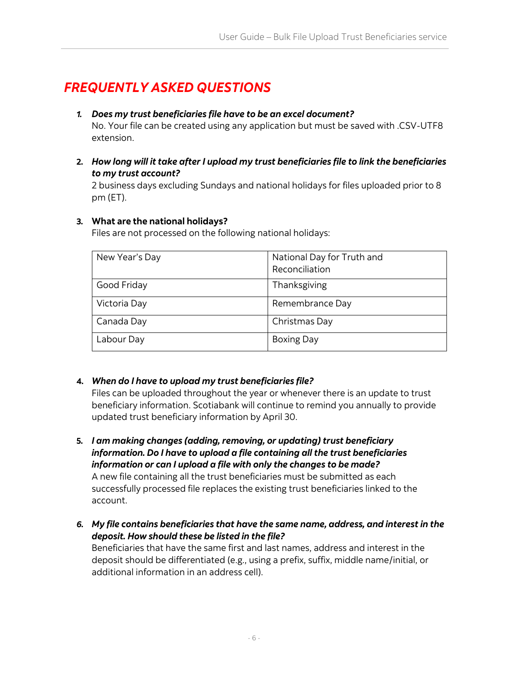### <span id="page-5-0"></span>*FREQUENTLY ASKED QUESTIONS*

- *1. Does my trust beneficiaries file have to be an excel document?* No. Your file can be created using any application but must be saved with .CSV-UTF8 extension.
- **2.** *How long will it take after I upload my trust beneficiaries file to link the beneficiaries to my trust account?*

2 business days excluding Sundays and national holidays for files uploaded prior to 8 pm (ET).

#### **3. What are the national holidays?**

Files are not processed on the following national holidays:

| New Year's Day | National Day for Truth and<br>Reconciliation |
|----------------|----------------------------------------------|
| Good Friday    | Thanksgiving                                 |
| Victoria Day   | Remembrance Day                              |
| Canada Day     | Christmas Day                                |
| Labour Day     | <b>Boxing Day</b>                            |

#### **4.** *When do I have to upload my trust beneficiaries file?*

Files can be uploaded throughout the year or whenever there is an update to trust beneficiary information. Scotiabank will continue to remind you annually to provide updated trust beneficiary information by April 30.

**5.** *I am making changes (adding, removing, or updating) trust beneficiary information. Do I have to upload a file containing all the trust beneficiaries information or can I upload a file with only the changes to be made?*

A new file containing all the trust beneficiaries must be submitted as each successfully processed file replaces the existing trust beneficiaries linked to the account.

*6. My file contains beneficiaries that have the same name, address, and interest in the deposit. How should these be listed in the file?*

Beneficiaries that have the same first and last names, address and interest in the deposit should be differentiated (e.g., using a prefix, suffix, middle name/initial, or additional information in an address cell).